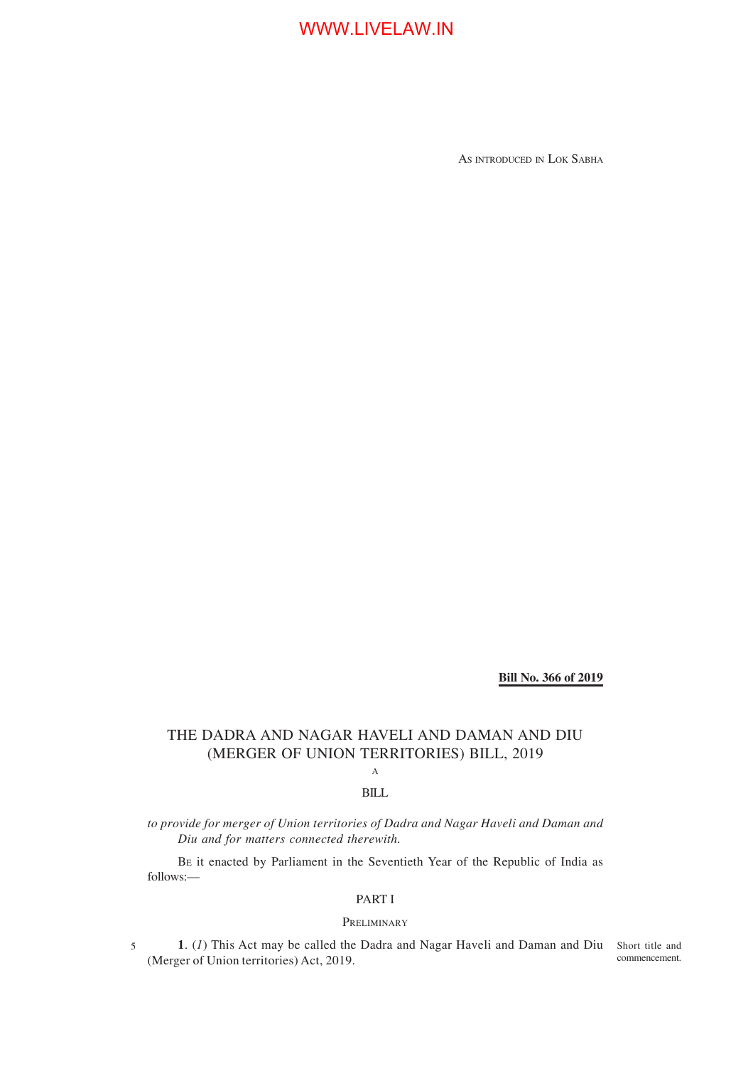AS INTRODUCED IN LOK SABHA

**Bill No. 366 of 2019**

## THE DADRA AND NAGAR HAVELI AND DAMAN AND DIU (MERGER OF UNION TERRITORIES) BILL, 2019

## A BILL

*to provide for merger of Union territories of Dadra and Nagar Haveli and Daman and Diu and for matters connected therewith.*

BE it enacted by Parliament in the Seventieth Year of the Republic of India as follows:—

## PART I

### PRELIMINARY

1. (1) This Act may be called the Dadra and Nagar Haveli and Daman and Diu Short title and (Merger of Union territories) Act, 2019. commencement.

5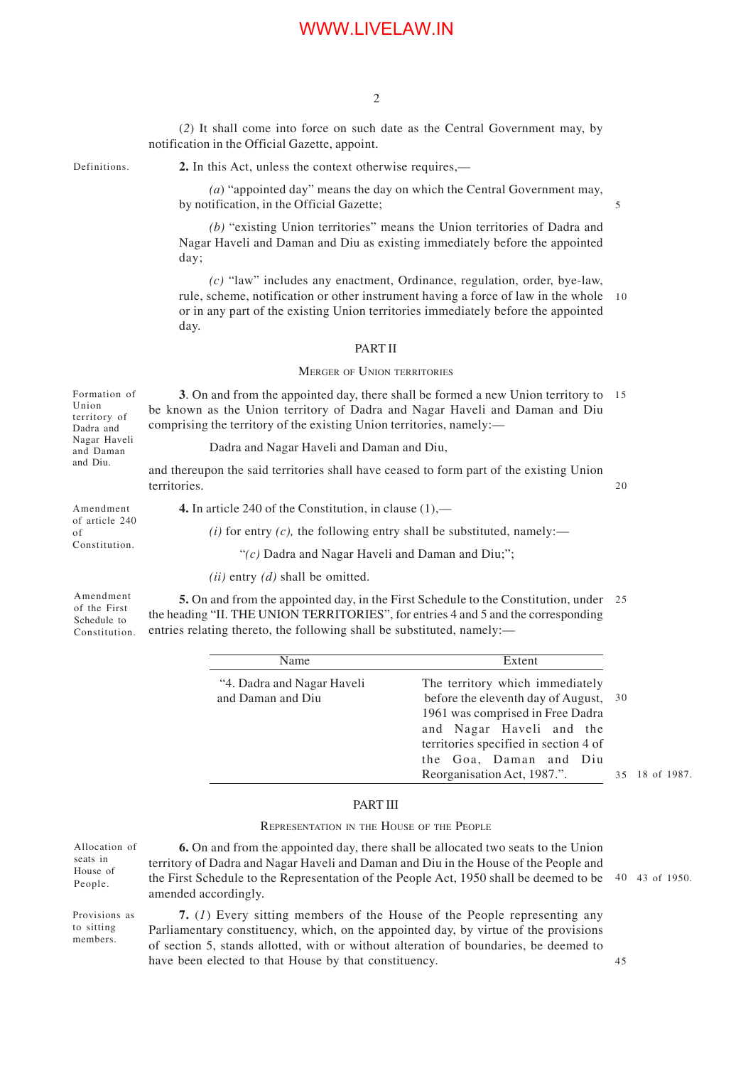(*2*) It shall come into force on such date as the Central Government may, by notification in the Official Gazette, appoint.

Definitions.

**2.** In this Act, unless the context otherwise requires,—

*(a*) "appointed day" means the day on which the Central Government may, by notification, in the Official Gazette;

*(b)* "existing Union territories" means the Union territories of Dadra and Nagar Haveli and Daman and Diu as existing immediately before the appointed day;

*(c)* "law" includes any enactment, Ordinance, regulation, order, bye-law, rule, scheme, notification or other instrument having a force of law in the whole or in any part of the existing Union territories immediately before the appointed day. 10

#### PART II

#### MERGER OF UNION TERRITORIES

**3**. On and from the appointed day, there shall be formed a new Union territory to 15 be known as the Union territory of Dadra and Nagar Haveli and Daman and Diu comprising the territory of the existing Union territories, namely:— Formation of Union territory of Dadra and Nagar Haveli

Dadra and Nagar Haveli and Daman and Diu,

and thereupon the said territories shall have ceased to form part of the existing Union territories.

Amendment of article 240 of Constitution.

and Daman and Diu.

**4.** In article 240 of the Constitution, in clause (1),—

*(i)* for entry *(c)*, the following entry shall be substituted, namely:—

"*(c)* Dadra and Nagar Haveli and Daman and Diu;";

*(ii)* entry *(d)* shall be omitted.

Amendment of the First Schedule to Constitution.

members.

**5.** On and from the appointed day, in the First Schedule to the Constitution, under 25 the heading "II. THE UNION TERRITORIES", for entries 4 and 5 and the corresponding entries relating thereto, the following shall be substituted, namely:—

| Name                                            | Extent                                                                                                                                                                                                                                  |                      |
|-------------------------------------------------|-----------------------------------------------------------------------------------------------------------------------------------------------------------------------------------------------------------------------------------------|----------------------|
| "4. Dadra and Nagar Haveli<br>and Daman and Diu | The territory which immediately<br>before the eleventh day of August,<br>1961 was comprised in Free Dadra<br>and Nagar Haveli and the<br>territories specified in section 4 of<br>the Goa, Daman and Diu<br>Reorganisation Act, 1987.". | 30<br>35 18 of 1987. |
|                                                 |                                                                                                                                                                                                                                         |                      |

## PART III

#### REPRESENTATION IN THE HOUSE OF THE PEOPLE

| Allocation of               | <b>6.</b> On and from the appointed day, there shall be allocated two seats to the Union                                                                       |  |
|-----------------------------|----------------------------------------------------------------------------------------------------------------------------------------------------------------|--|
| seats in                    | territory of Dadra and Nagar Haveli and Daman and Diu in the House of the People and                                                                           |  |
| House of<br>People.         | the First Schedule to the Representation of the People Act, 1950 shall be deemed to be $\frac{40}{1950}$ .<br>amended accordingly.                             |  |
| Provisions as<br>to sitting | 7. (1) Every sitting members of the House of the People representing any<br>Dopliamantary constituency which an the ennounted day by writing of the provisions |  |

Parliamentary constituency, which, on the appointed day, by virtue of the provisions of section 5, stands allotted, with or without alteration of boundaries, be deemed to have been elected to that House by that constituency.

45

5

 $20$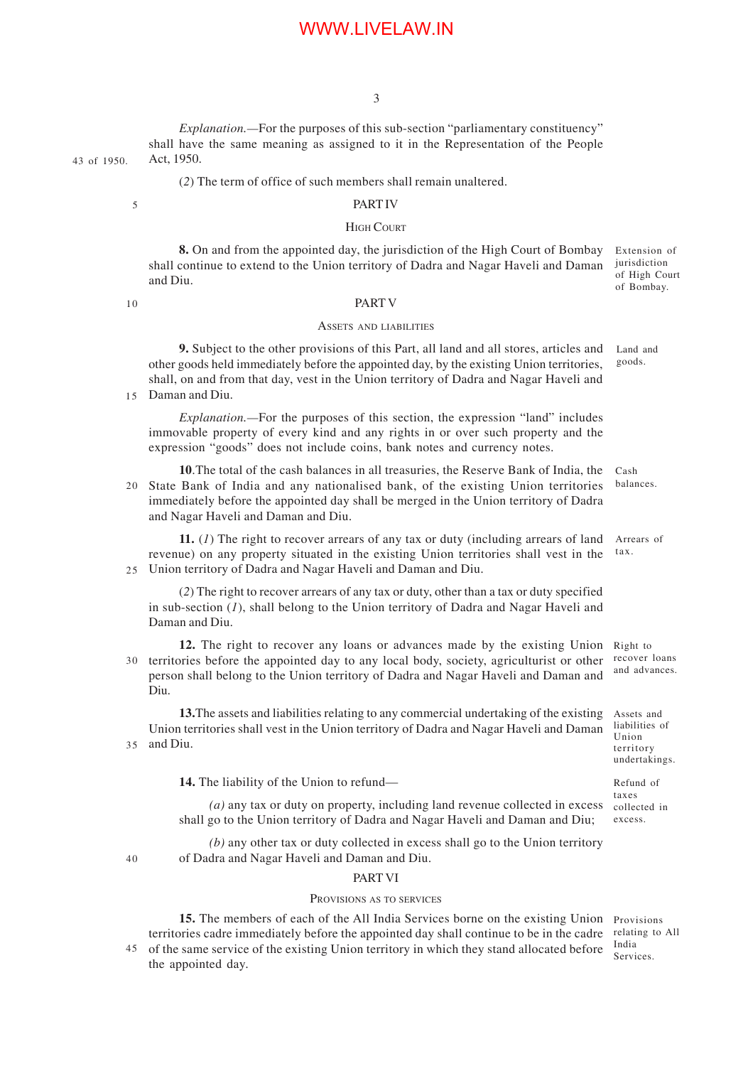3

*Explanation.—*For the purposes of this sub-section "parliamentary constituency" shall have the same meaning as assigned to it in the Representation of the People Act, 1950. 43 of 1950.

(*2*) The term of office of such members shall remain unaltered.

#### 5

## PART IV

### HIGH COURT

**8.** On and from the appointed day, the jurisdiction of the High Court of Bombay shall continue to extend to the Union territory of Dadra and Nagar Haveli and Daman and Diu. Extension of jurisdiction of High Court of Bombay.

 $1<sub>0</sub>$ 

40

### PART V

#### ASSETS AND LIABILITIES

**9.** Subject to the other provisions of this Part, all land and all stores, articles and other goods held immediately before the appointed day, by the existing Union territories, shall, on and from that day, vest in the Union territory of Dadra and Nagar Haveli and Daman and Diu. 15 Land and goods.

*Explanation.—*For the purposes of this section, the expression "land" includes immovable property of every kind and any rights in or over such property and the expression "goods" does not include coins, bank notes and currency notes.

**10**.The total of the cash balances in all treasuries, the Reserve Bank of India, the State Bank of India and any nationalised bank, of the existing Union territories immediately before the appointed day shall be merged in the Union territory of Dadra and Nagar Haveli and Daman and Diu. Cash balances.  $20<sup>2</sup>$ 

**11.** (*1*) The right to recover arrears of any tax or duty (including arrears of land revenue) on any property situated in the existing Union territories shall vest in the Union territory of Dadra and Nagar Haveli and Daman and Diu. Arrears of tax.  $25$ 

(*2*) The right to recover arrears of any tax or duty, other than a tax or duty specified in sub-section (*1*), shall belong to the Union territory of Dadra and Nagar Haveli and Daman and Diu.

12. The right to recover any loans or advances made by the existing Union Right to 30 territories before the appointed day to any local body, society, agriculturist or other person shall belong to the Union territory of Dadra and Nagar Haveli and Daman and Diu.

**13.**The assets and liabilities relating to any commercial undertaking of the existing Union territories shall vest in the Union territory of Dadra and Nagar Haveli and Daman 35 and Diu.

14. The liability of the Union to refund—

(*a*) any tax or duty on property, including land revenue collected in excess collected in shall go to the Union territory of Dadra and Nagar Haveli and Daman and Diu;

*(b)* any other tax or duty collected in excess shall go to the Union territory of Dadra and Nagar Haveli and Daman and Diu.

#### PART VI

#### PROVISIONS AS TO SERVICES

15. The members of each of the All India Services borne on the existing Union Provisions territories cadre immediately before the appointed day shall continue to be in the cadre of the same service of the existing Union territory in which they stand allocated before 45 the appointed day.

relating to All India Services.

recover loans and advances.

Assets and liabilities of Union territory undertakings.

Refund of taxes excess.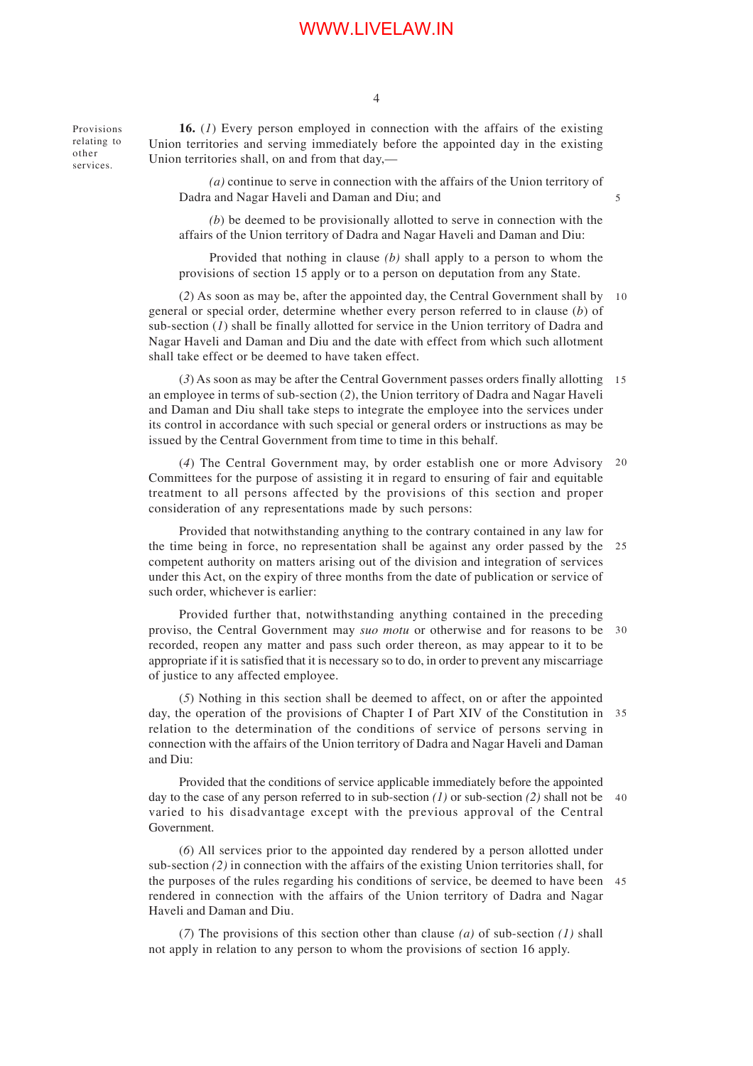4

**16.** (*1*) Every person employed in connection with the affairs of the existing Union territories and serving immediately before the appointed day in the existing Union territories shall, on and from that day,— Provisions relating to other services.

> *(a)* continue to serve in connection with the affairs of the Union territory of Dadra and Nagar Haveli and Daman and Diu; and

> *(b*) be deemed to be provisionally allotted to serve in connection with the affairs of the Union territory of Dadra and Nagar Haveli and Daman and Diu:

> Provided that nothing in clause *(b)* shall apply to a person to whom the provisions of section 15 apply or to a person on deputation from any State.

(*2*) As soon as may be, after the appointed day, the Central Government shall by 10 general or special order, determine whether every person referred to in clause (*b*) of sub-section (*1*) shall be finally allotted for service in the Union territory of Dadra and Nagar Haveli and Daman and Diu and the date with effect from which such allotment shall take effect or be deemed to have taken effect.

(*3*) As soon as may be after the Central Government passes orders finally allotting 15 an employee in terms of sub-section (*2*), the Union territory of Dadra and Nagar Haveli and Daman and Diu shall take steps to integrate the employee into the services under its control in accordance with such special or general orders or instructions as may be issued by the Central Government from time to time in this behalf.

(*4*) The Central Government may, by order establish one or more Advisory 20 Committees for the purpose of assisting it in regard to ensuring of fair and equitable treatment to all persons affected by the provisions of this section and proper consideration of any representations made by such persons:

Provided that notwithstanding anything to the contrary contained in any law for the time being in force, no representation shall be against any order passed by the 25 competent authority on matters arising out of the division and integration of services under this Act, on the expiry of three months from the date of publication or service of such order, whichever is earlier:

Provided further that, notwithstanding anything contained in the preceding proviso, the Central Government may *suo motu* or otherwise and for reasons to be 30 recorded, reopen any matter and pass such order thereon, as may appear to it to be appropriate if it is satisfied that it is necessary so to do, in order to prevent any miscarriage of justice to any affected employee.

(*5*) Nothing in this section shall be deemed to affect, on or after the appointed day, the operation of the provisions of Chapter I of Part XIV of the Constitution in 35 relation to the determination of the conditions of service of persons serving in connection with the affairs of the Union territory of Dadra and Nagar Haveli and Daman and Diu:

Provided that the conditions of service applicable immediately before the appointed day to the case of any person referred to in sub-section *(1)* or sub-section *(2)* shall not be 40 varied to his disadvantage except with the previous approval of the Central Government.

(*6*) All services prior to the appointed day rendered by a person allotted under sub-section *(2)* in connection with the affairs of the existing Union territories shall, for the purposes of the rules regarding his conditions of service, be deemed to have been 45 rendered in connection with the affairs of the Union territory of Dadra and Nagar Haveli and Daman and Diu.

(*7*) The provisions of this section other than clause *(a)* of sub-section *(1)* shall not apply in relation to any person to whom the provisions of section 16 apply.

5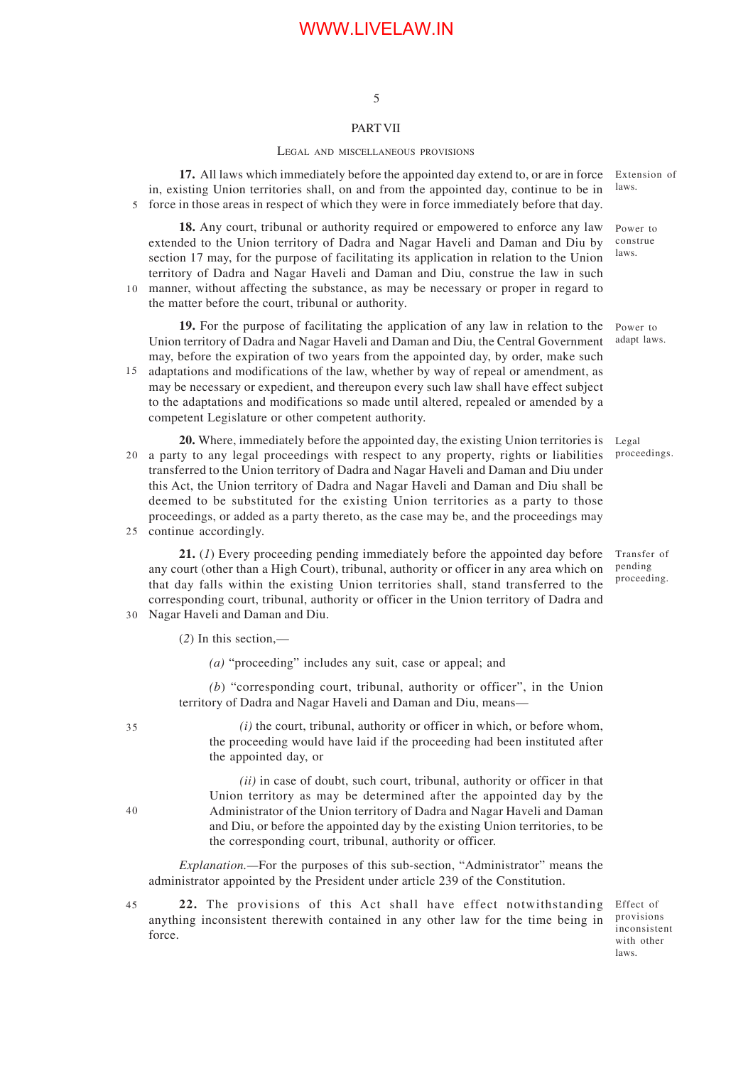## 5

### PART VII

#### LEGAL AND MISCELLANEOUS PROVISIONS

**17.** All laws which immediately before the appointed day extend to, or are in force in, existing Union territories shall, on and from the appointed day, continue to be in 5 force in those areas in respect of which they were in force immediately before that day. Extension of laws.

**18.** Any court, tribunal or authority required or empowered to enforce any law extended to the Union territory of Dadra and Nagar Haveli and Daman and Diu by section 17 may, for the purpose of facilitating its application in relation to the Union territory of Dadra and Nagar Haveli and Daman and Diu, construe the law in such manner, without affecting the substance, as may be necessary or proper in regard to 10 the matter before the court, tribunal or authority.

**19.** For the purpose of facilitating the application of any law in relation to the Union territory of Dadra and Nagar Haveli and Daman and Diu, the Central Government may, before the expiration of two years from the appointed day, by order, make such

adaptations and modifications of the law, whether by way of repeal or amendment, as may be necessary or expedient, and thereupon every such law shall have effect subject to the adaptations and modifications so made until altered, repealed or amended by a competent Legislature or other competent authority. 15

**20.** Where, immediately before the appointed day, the existing Union territories is a party to any legal proceedings with respect to any property, rights or liabilities transferred to the Union territory of Dadra and Nagar Haveli and Daman and Diu under this Act, the Union territory of Dadra and Nagar Haveli and Daman and Diu shall be deemed to be substituted for the existing Union territories as a party to those proceedings, or added as a party thereto, as the case may be, and the proceedings may 25 continue accordingly. Legal  $20<sup>2</sup>$ 

**21.** (*1*) Every proceeding pending immediately before the appointed day before any court (other than a High Court), tribunal, authority or officer in any area which on that day falls within the existing Union territories shall, stand transferred to the corresponding court, tribunal, authority or officer in the Union territory of Dadra and Nagar Haveli and Daman and Diu. 30

(*2*) In this section,—

*(a)* "proceeding" includes any suit, case or appeal; and

*(b*) "corresponding court, tribunal, authority or officer", in the Union territory of Dadra and Nagar Haveli and Daman and Diu, means—

*(i)* the court, tribunal, authority or officer in which, or before whom, the proceeding would have laid if the proceeding had been instituted after the appointed day, or

*(ii)* in case of doubt, such court, tribunal, authority or officer in that Union territory as may be determined after the appointed day by the Administrator of the Union territory of Dadra and Nagar Haveli and Daman and Diu, or before the appointed day by the existing Union territories, to be the corresponding court, tribunal, authority or officer.

*Explanation.—*For the purposes of this sub-section, "Administrator" means the administrator appointed by the President under article 239 of the Constitution.

22. The provisions of this Act shall have effect notwithstanding Effect of anything inconsistent therewith contained in any other law for the time being in force. 45

provisions inconsistent with other laws.

35

40

Power to

proceedings.

Transfer of pending proceeding.

adapt laws.

Power to construe laws.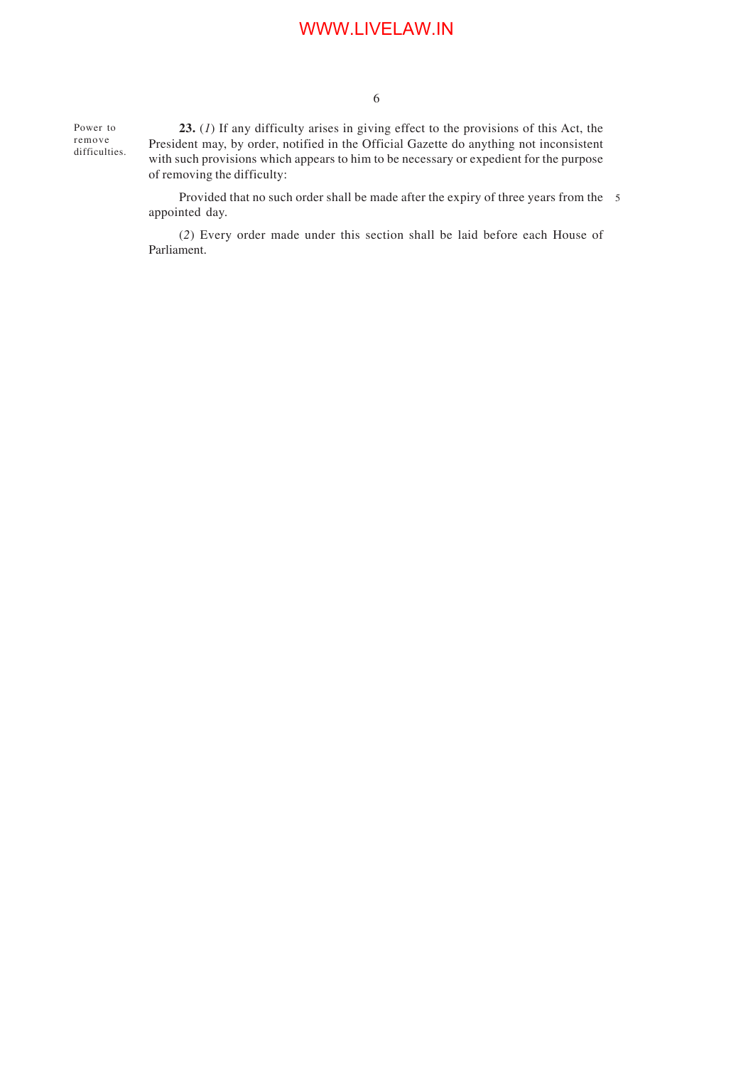Power to remove difficulties.

**23.** (*1*) If any difficulty arises in giving effect to the provisions of this Act, the President may, by order, notified in the Official Gazette do anything not inconsistent with such provisions which appears to him to be necessary or expedient for the purpose of removing the difficulty:

Provided that no such order shall be made after the expiry of three years from the 5 appointed day.

(*2*) Every order made under this section shall be laid before each House of Parliament.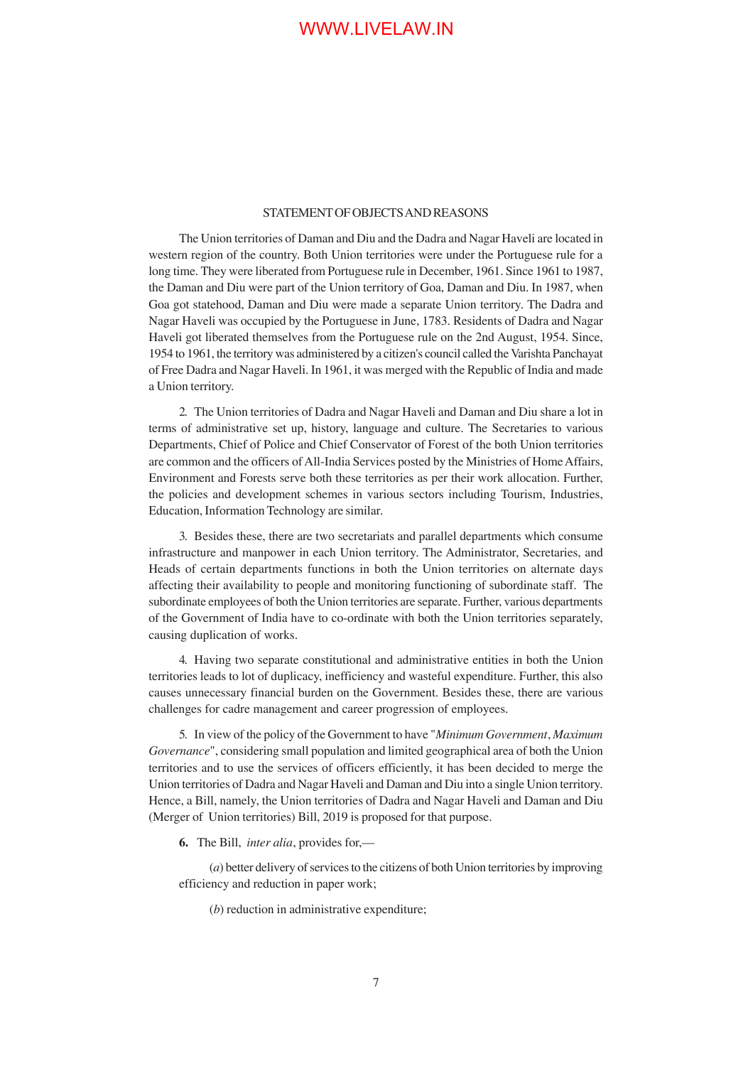### STATEMENT OF OBJECTS AND REASONS

The Union territories of Daman and Diu and the Dadra and Nagar Haveli are located in western region of the country. Both Union territories were under the Portuguese rule for a long time. They were liberated from Portuguese rule in December, 1961. Since 1961 to 1987, the Daman and Diu were part of the Union territory of Goa, Daman and Diu. In 1987, when Goa got statehood, Daman and Diu were made a separate Union territory. The Dadra and Nagar Haveli was occupied by the Portuguese in June, 1783. Residents of Dadra and Nagar Haveli got liberated themselves from the Portuguese rule on the 2nd August, 1954. Since, 1954 to 1961, the territory was administered by a citizen's council called the Varishta Panchayat of Free Dadra and Nagar Haveli. In 1961, it was merged with the Republic of India and made a Union territory.

2. The Union territories of Dadra and Nagar Haveli and Daman and Diu share a lot in terms of administrative set up, history, language and culture. The Secretaries to various Departments, Chief of Police and Chief Conservator of Forest of the both Union territories are common and the officers of All-India Services posted by the Ministries of Home Affairs, Environment and Forests serve both these territories as per their work allocation. Further, the policies and development schemes in various sectors including Tourism, Industries, Education, Information Technology are similar.

3. Besides these, there are two secretariats and parallel departments which consume infrastructure and manpower in each Union territory. The Administrator, Secretaries, and Heads of certain departments functions in both the Union territories on alternate days affecting their availability to people and monitoring functioning of subordinate staff. The subordinate employees of both the Union territories are separate. Further, various departments of the Government of India have to co-ordinate with both the Union territories separately, causing duplication of works.

4. Having two separate constitutional and administrative entities in both the Union territories leads to lot of duplicacy, inefficiency and wasteful expenditure. Further, this also causes unnecessary financial burden on the Government. Besides these, there are various challenges for cadre management and career progression of employees.

5. In view of the policy of the Government to have "*Minimum Government*, *Maximum Governance*", considering small population and limited geographical area of both the Union territories and to use the services of officers efficiently, it has been decided to merge the Union territories of Dadra and Nagar Haveli and Daman and Diu into a single Union territory. Hence, a Bill, namely, the Union territories of Dadra and Nagar Haveli and Daman and Diu (Merger of Union territories) Bill, 2019 is proposed for that purpose.

**6.** The Bill, *inter alia*, provides for,—

(*a*) better delivery of services to the citizens of both Union territories by improving efficiency and reduction in paper work;

(*b*) reduction in administrative expenditure;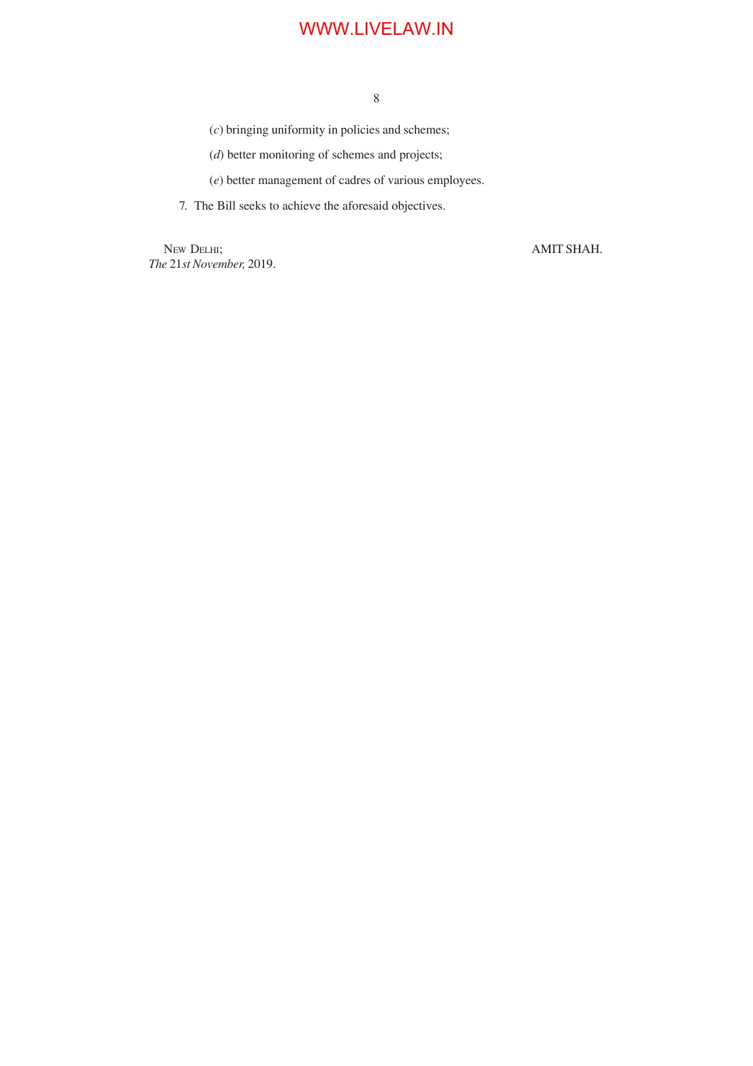8

(*c*) bringing uniformity in policies and schemes;

(*d*) better monitoring of schemes and projects;

(*e*) better management of cadres of various employees.

7. The Bill seeks to achieve the aforesaid objectives.

NEW DELHI; AMIT SHAH. *The* 21*st November,* 2019.